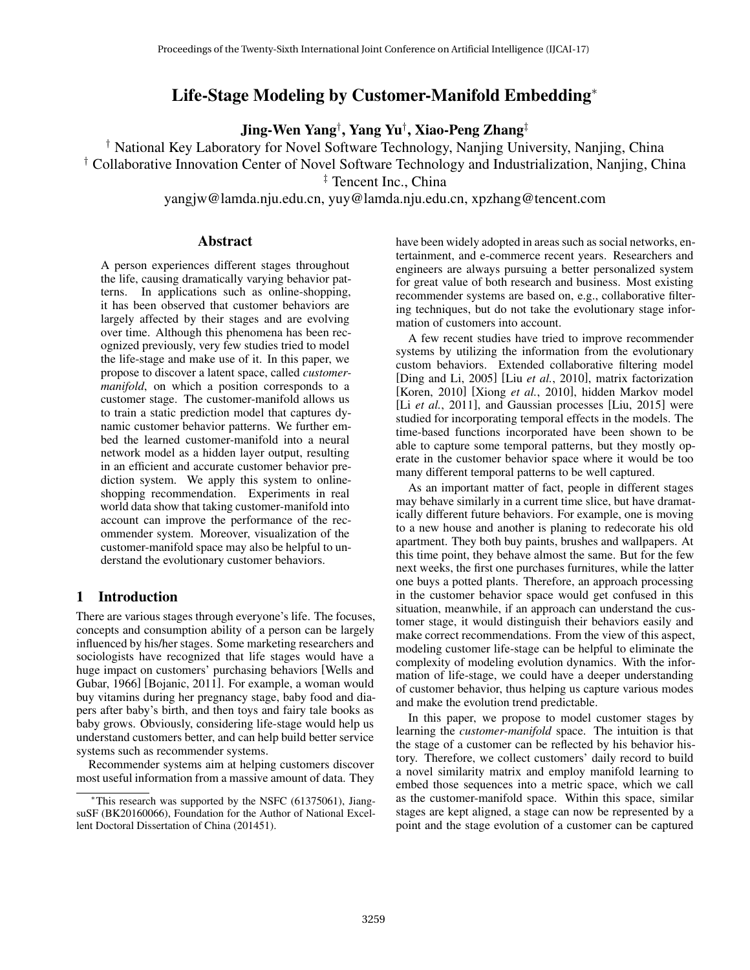# Life-Stage Modeling by Customer-Manifold Embedding<sup>∗</sup>

Jing-Wen Yang*†* , Yang Yu*†* , Xiao-Peng Zhang*‡*

*†* National Key Laboratory for Novel Software Technology, Nanjing University, Nanjing, China *†* Collaborative Innovation Center of Novel Software Technology and Industrialization, Nanjing, China

*‡* Tencent Inc., China

yangjw@lamda.nju.edu.cn, yuy@lamda.nju.edu.cn, xpzhang@tencent.com

# Abstract

A person experiences different stages throughout the life, causing dramatically varying behavior patterns. In applications such as online-shopping, it has been observed that customer behaviors are largely affected by their stages and are evolving over time. Although this phenomena has been recognized previously, very few studies tried to model the life-stage and make use of it. In this paper, we propose to discover a latent space, called *customermanifold*, on which a position corresponds to a customer stage. The customer-manifold allows us to train a static prediction model that captures dynamic customer behavior patterns. We further embed the learned customer-manifold into a neural network model as a hidden layer output, resulting in an efficient and accurate customer behavior prediction system. We apply this system to onlineshopping recommendation. Experiments in real world data show that taking customer-manifold into account can improve the performance of the recommender system. Moreover, visualization of the customer-manifold space may also be helpful to understand the evolutionary customer behaviors.

# 1 Introduction

There are various stages through everyone's life. The focuses, concepts and consumption ability of a person can be largely influenced by his/her stages. Some marketing researchers and sociologists have recognized that life stages would have a huge impact on customers' purchasing behaviors [Wells and Gubar, 1966] [Bojanic, 2011]. For example, a woman would buy vitamins during her pregnancy stage, baby food and diapers after baby's birth, and then toys and fairy tale books as baby grows. Obviously, considering life-stage would help us understand customers better, and can help build better service systems such as recommender systems.

Recommender systems aim at helping customers discover most useful information from a massive amount of data. They have been widely adopted in areas such as social networks, entertainment, and e-commerce recent years. Researchers and engineers are always pursuing a better personalized system for great value of both research and business. Most existing recommender systems are based on, e.g., collaborative filtering techniques, but do not take the evolutionary stage information of customers into account.

A few recent studies have tried to improve recommender systems by utilizing the information from the evolutionary custom behaviors. Extended collaborative filtering model [Ding and Li, 2005] [Liu *et al.*, 2010], matrix factorization [Koren, 2010] [Xiong *et al.*, 2010], hidden Markov model [Li *et al.*, 2011], and Gaussian processes [Liu, 2015] were studied for incorporating temporal effects in the models. The time-based functions incorporated have been shown to be able to capture some temporal patterns, but they mostly operate in the customer behavior space where it would be too many different temporal patterns to be well captured.

As an important matter of fact, people in different stages may behave similarly in a current time slice, but have dramatically different future behaviors. For example, one is moving to a new house and another is planing to redecorate his old apartment. They both buy paints, brushes and wallpapers. At this time point, they behave almost the same. But for the few next weeks, the first one purchases furnitures, while the latter one buys a potted plants. Therefore, an approach processing in the customer behavior space would get confused in this situation, meanwhile, if an approach can understand the customer stage, it would distinguish their behaviors easily and make correct recommendations. From the view of this aspect, modeling customer life-stage can be helpful to eliminate the complexity of modeling evolution dynamics. With the information of life-stage, we could have a deeper understanding of customer behavior, thus helping us capture various modes and make the evolution trend predictable.

In this paper, we propose to model customer stages by learning the *customer-manifold* space. The intuition is that the stage of a customer can be reflected by his behavior history. Therefore, we collect customers' daily record to build a novel similarity matrix and employ manifold learning to embed those sequences into a metric space, which we call as the customer-manifold space. Within this space, similar stages are kept aligned, a stage can now be represented by a point and the stage evolution of a customer can be captured

<sup>∗</sup>This research was supported by the NSFC (61375061), JiangsuSF (BK20160066), Foundation for the Author of National Excellent Doctoral Dissertation of China (201451).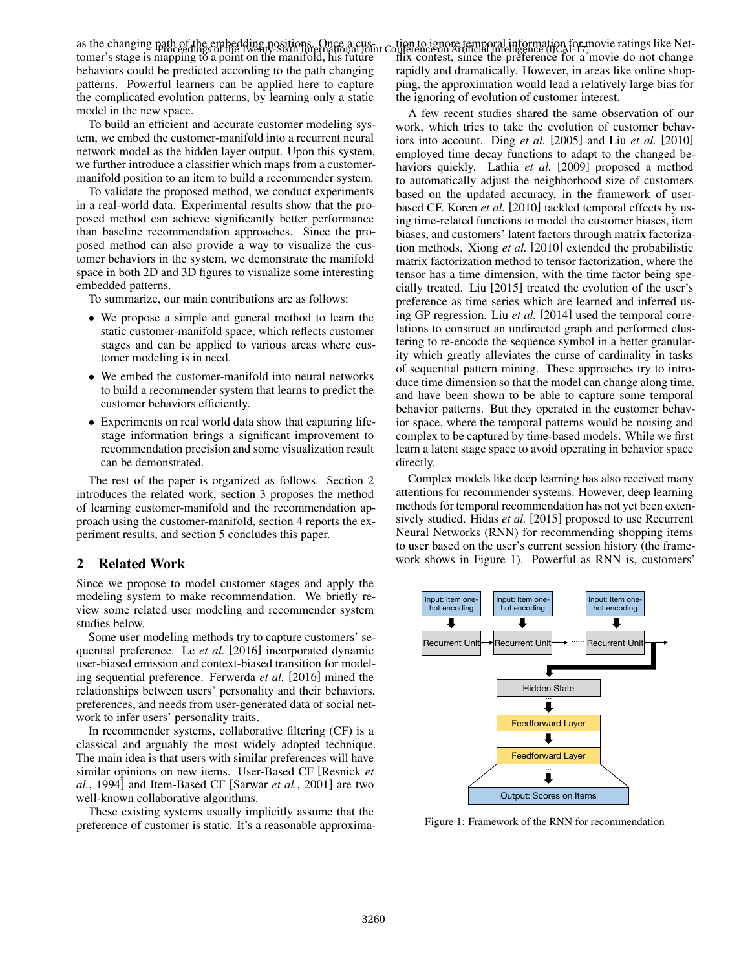as the changing path of the embedding positions. Once a cus-<br>as the changing path of the embedding positions. Once a customer's stage is mapping to a point on the manifold, his future behaviors could be predicted according to the path changing patterns. Powerful learners can be applied here to capture the complicated evolution patterns, by learning only a static model in the new space.

To build an efficient and accurate customer modeling system, we embed the customer-manifold into a recurrent neural network model as the hidden layer output. Upon this system, we further introduce a classifier which maps from a customermanifold position to an item to build a recommender system.

To validate the proposed method, we conduct experiments in a real-world data. Experimental results show that the proposed method can achieve significantly better performance than baseline recommendation approaches. Since the proposed method can also provide a way to visualize the customer behaviors in the system, we demonstrate the manifold space in both 2D and 3D figures to visualize some interesting embedded patterns.

To summarize, our main contributions are as follows:

- *•* We propose a simple and general method to learn the static customer-manifold space, which reflects customer stages and can be applied to various areas where customer modeling is in need.
- *•* We embed the customer-manifold into neural networks to build a recommender system that learns to predict the customer behaviors efficiently.
- *•* Experiments on real world data show that capturing lifestage information brings a significant improvement to recommendation precision and some visualization result can be demonstrated.

The rest of the paper is organized as follows. Section 2 introduces the related work, section 3 proposes the method of learning customer-manifold and the recommendation approach using the customer-manifold, section 4 reports the experiment results, and section 5 concludes this paper.

# 2 Related Work

Since we propose to model customer stages and apply the modeling system to make recommendation. We briefly review some related user modeling and recommender system studies below.

Some user modeling methods try to capture customers' sequential preference. Le *et al.* [2016] incorporated dynamic user-biased emission and context-biased transition for modeling sequential preference. Ferwerda *et al.* [2016] mined the relationships between users' personality and their behaviors, preferences, and needs from user-generated data of social network to infer users' personality traits.

In recommender systems, collaborative filtering (CF) is a classical and arguably the most widely adopted technique. The main idea is that users with similar preferences will have similar opinions on new items. User-Based CF [Resnick *et al.*, 1994] and Item-Based CF [Sarwar *et al.*, 2001] are two well-known collaborative algorithms.

These existing systems usually implicitly assume that the preference of customer is static. It's a reasonable approxima-

flix contest, since the preference for a movie do not change rapidly and dramatically. However, in areas like online shopping, the approximation would lead a relatively large bias for the ignoring of evolution of customer interest.

A few recent studies shared the same observation of our work, which tries to take the evolution of customer behaviors into account. Ding *et al.* [2005] and Liu *et al.* [2010] employed time decay functions to adapt to the changed behaviors quickly. Lathia *et al.* [2009] proposed a method to automatically adjust the neighborhood size of customers based on the updated accuracy, in the framework of userbased CF. Koren *et al.* [2010] tackled temporal effects by using time-related functions to model the customer biases, item biases, and customers' latent factors through matrix factorization methods. Xiong *et al.* [2010] extended the probabilistic matrix factorization method to tensor factorization, where the tensor has a time dimension, with the time factor being specially treated. Liu [2015] treated the evolution of the user's preference as time series which are learned and inferred using GP regression. Liu *et al.* [2014] used the temporal correlations to construct an undirected graph and performed clustering to re-encode the sequence symbol in a better granularity which greatly alleviates the curse of cardinality in tasks of sequential pattern mining. These approaches try to introduce time dimension so that the model can change along time, and have been shown to be able to capture some temporal behavior patterns. But they operated in the customer behavior space, where the temporal patterns would be noising and complex to be captured by time-based models. While we first learn a latent stage space to avoid operating in behavior space directly.

Complex models like deep learning has also received many attentions for recommender systems. However, deep learning methods for temporal recommendation has not yet been extensively studied. Hidas *et al.* [2015] proposed to use Recurrent Neural Networks (RNN) for recommending shopping items to user based on the user's current session history (the framework shows in Figure 1). Powerful as RNN is, customers'



Figure 1: Framework of the RNN for recommendation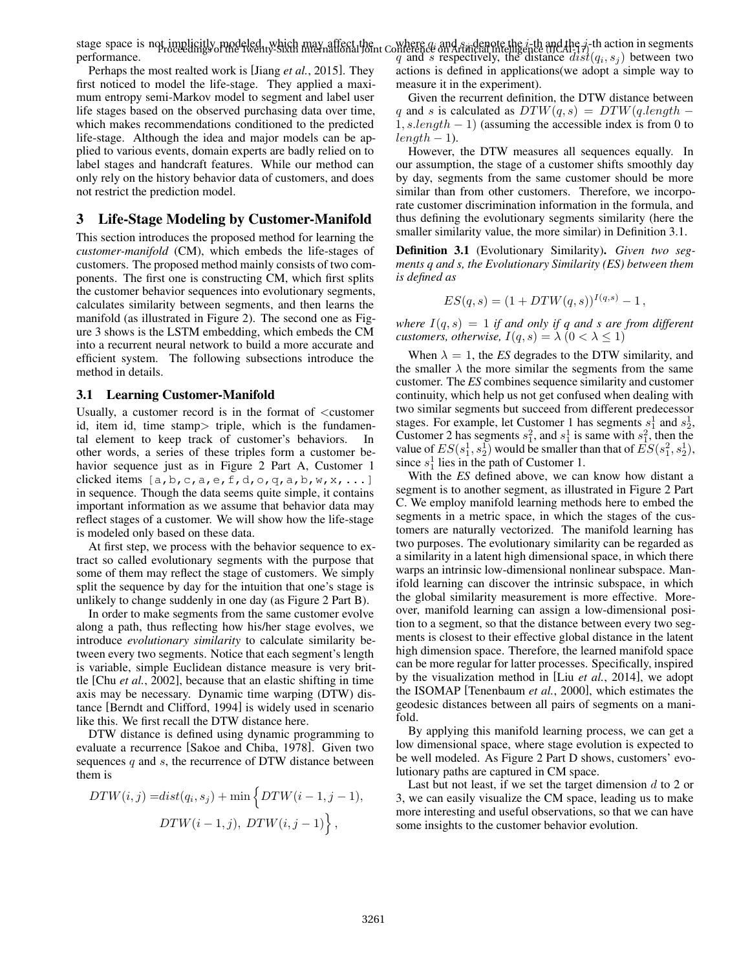stage space is not implicitly modeled, which may affect the performance. where *q<sup>i</sup>* and *s<sup>j</sup>* denote the *i*-th and the *j*-th action in segments Proceedings of the Twenty-Sixth International Joint Conference on Artificial Intelligence (IJCAI-17) in action in segments<br> $q$  and  $s$  respectively, the distance  $dist(q_i, s_j)$  between two

Perhaps the most realted work is [Jiang *et al.*, 2015]. They first noticed to model the life-stage. They applied a maximum entropy semi-Markov model to segment and label user life stages based on the observed purchasing data over time, which makes recommendations conditioned to the predicted life-stage. Although the idea and major models can be applied to various events, domain experts are badly relied on to label stages and handcraft features. While our method can only rely on the history behavior data of customers, and does not restrict the prediction model.

## 3 Life-Stage Modeling by Customer-Manifold

This section introduces the proposed method for learning the *customer-manifold* (CM), which embeds the life-stages of customers. The proposed method mainly consists of two components. The first one is constructing CM, which first splits the customer behavior sequences into evolutionary segments, calculates similarity between segments, and then learns the manifold (as illustrated in Figure 2). The second one as Figure 3 shows is the LSTM embedding, which embeds the CM into a recurrent neural network to build a more accurate and efficient system. The following subsections introduce the method in details.

### 3.1 Learning Customer-Manifold

Usually, a customer record is in the format of *<*customer id, item id, time stamp*>* triple, which is the fundamental element to keep track of customer's behaviors. In other words, a series of these triples form a customer behavior sequence just as in Figure 2 Part A, Customer 1 clicked items  $[a,b,c,a,e,f,d,o,q,a,b,w,x,...]$ in sequence. Though the data seems quite simple, it contains important information as we assume that behavior data may reflect stages of a customer. We will show how the life-stage is modeled only based on these data.

At first step, we process with the behavior sequence to extract so called evolutionary segments with the purpose that some of them may reflect the stage of customers. We simply split the sequence by day for the intuition that one's stage is unlikely to change suddenly in one day (as Figure 2 Part B).

In order to make segments from the same customer evolve along a path, thus reflecting how his/her stage evolves, we introduce *evolutionary similarity* to calculate similarity between every two segments. Notice that each segment's length is variable, simple Euclidean distance measure is very brittle [Chu *et al.*, 2002], because that an elastic shifting in time axis may be necessary. Dynamic time warping (DTW) distance [Berndt and Clifford, 1994] is widely used in scenario like this. We first recall the DTW distance here.

DTW distance is defined using dynamic programming to evaluate a recurrence [Sakoe and Chiba, 1978]. Given two sequences *q* and *s*, the recurrence of DTW distance between them is

$$
DTW(i,j) = dist(q_i, s_j) + min \left\{ DTW(i-1, j-1),
$$
  

$$
DTW(i-1,j), DTW(i, j-1) \right\},
$$

actions is defined in applications(we adopt a simple way to measure it in the experiment).

Given the recurrent definition, the DTW distance between *q* and *s* is calculated as  $DTW(q, s) = DTW(q.length - s)$ 1*, s.length* − 1) (assuming the accessible index is from 0 to  $length-1$ .

However, the DTW measures all sequences equally. In our assumption, the stage of a customer shifts smoothly day by day, segments from the same customer should be more similar than from other customers. Therefore, we incorporate customer discrimination information in the formula, and thus defining the evolutionary segments similarity (here the smaller similarity value, the more similar) in Definition 3.1.

Definition 3.1 (Evolutionary Similarity). *Given two segments q and s, the Evolutionary Similarity (ES) between them is defined as*

$$
ES(q, s) = (1 + DTW(q, s))^{I(q, s)} - 1,
$$

*where*  $I(q, s) = 1$  *if and only if q and s are from different customers, otherwise,*  $I(q, s) = \lambda (0 < \lambda \le 1)$ 

When  $\lambda = 1$ , the *ES* degrades to the DTW similarity, and the smaller  $\lambda$  the more similar the segments from the same customer. The *ES* combines sequence similarity and customer continuity, which help us not get confused when dealing with two similar segments but succeed from different predecessor stages. For example, let Customer 1 has segments  $s_1^1$  and  $s_2^1$ , Customer 2 has segments  $s_1^2$ , and  $s_1^1$  is same with  $s_1^2$ , then the value of  $ES(s_1^1, s_2^1)$  would be smaller than that of  $ES(s_1^2, s_2^1)$ , since  $s_1^1$  lies in the path of Customer 1.

With the *ES* defined above, we can know how distant a segment is to another segment, as illustrated in Figure 2 Part C. We employ manifold learning methods here to embed the segments in a metric space, in which the stages of the customers are naturally vectorized. The manifold learning has two purposes. The evolutionary similarity can be regarded as a similarity in a latent high dimensional space, in which there warps an intrinsic low-dimensional nonlinear subspace. Manifold learning can discover the intrinsic subspace, in which the global similarity measurement is more effective. Moreover, manifold learning can assign a low-dimensional position to a segment, so that the distance between every two segments is closest to their effective global distance in the latent high dimension space. Therefore, the learned manifold space can be more regular for latter processes. Specifically, inspired by the visualization method in [Liu *et al.*, 2014], we adopt the ISOMAP [Tenenbaum *et al.*, 2000], which estimates the geodesic distances between all pairs of segments on a manifold.

By applying this manifold learning process, we can get a low dimensional space, where stage evolution is expected to be well modeled. As Figure 2 Part D shows, customers' evolutionary paths are captured in CM space.

Last but not least, if we set the target dimension *d* to 2 or 3, we can easily visualize the CM space, leading us to make more interesting and useful observations, so that we can have some insights to the customer behavior evolution.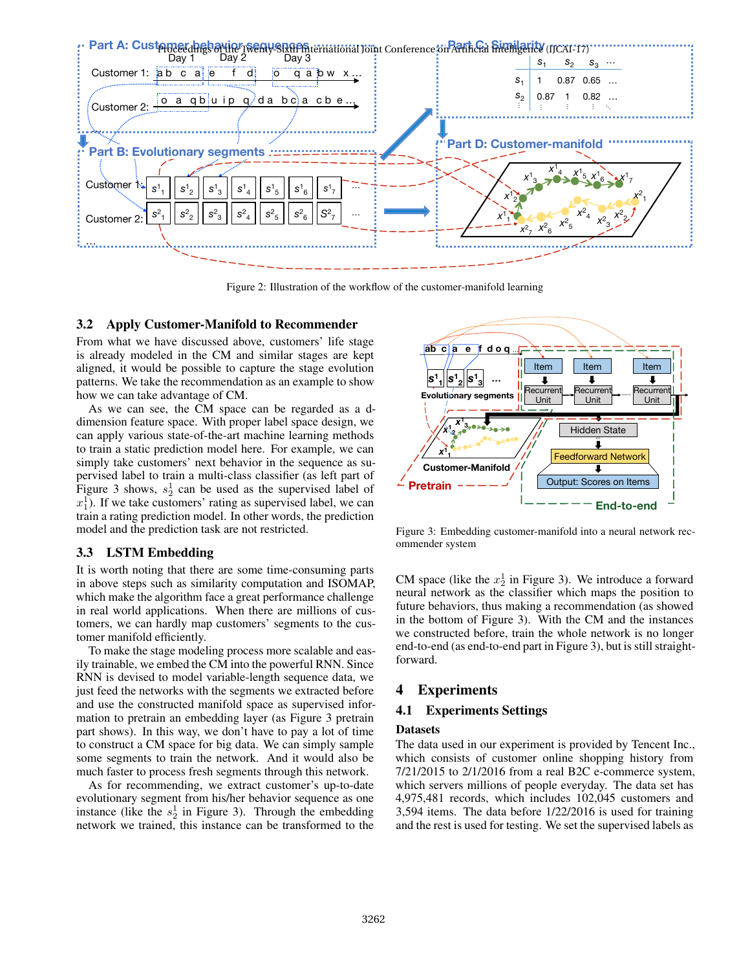

Figure 2: Illustration of the workflow of the customer-manifold learning

## 3.2 Apply Customer-Manifold to Recommender

From what we have discussed above, customers' life stage is already modeled in the CM and similar stages are kept aligned, it would be possible to capture the stage evolution patterns. We take the recommendation as an example to show how we can take advantage of CM.

As we can see, the CM space can be regarded as a ddimension feature space. With proper label space design, we can apply various state-of-the-art machine learning methods to train a static prediction model here. For example, we can simply take customers' next behavior in the sequence as supervised label to train a multi-class classifier (as left part of Figure 3 shows,  $s_2^1$  can be used as the supervised label of  $x_1^1$ ). If we take customers' rating as supervised label, we can train a rating prediction model. In other words, the prediction model and the prediction task are not restricted.

# 3.3 LSTM Embedding

It is worth noting that there are some time-consuming parts in above steps such as similarity computation and ISOMAP, which make the algorithm face a great performance challenge in real world applications. When there are millions of customers, we can hardly map customers' segments to the customer manifold efficiently.

To make the stage modeling process more scalable and easily trainable, we embed the CM into the powerful RNN. Since RNN is devised to model variable-length sequence data, we just feed the networks with the segments we extracted before and use the constructed manifold space as supervised information to pretrain an embedding layer (as Figure 3 pretrain part shows). In this way, we don't have to pay a lot of time to construct a CM space for big data. We can simply sample some segments to train the network. And it would also be much faster to process fresh segments through this network.

As for recommending, we extract customer's up-to-date evolutionary segment from his/her behavior sequence as one instance (like the  $s_2$ <sup>1</sup> in Figure 3). Through the embedding network we trained, this instance can be transformed to the



Figure 3: Embedding customer-manifold into a neural network recommender system

CM space (like the  $x_2^1$  in Figure 3). We introduce a forward neural network as the classifier which maps the position to future behaviors, thus making a recommendation (as showed in the bottom of Figure 3). With the CM and the instances we constructed before, train the whole network is no longer end-to-end (as end-to-end part in Figure 3), but is still straightforward.

# 4 Experiments

# 4.1 Experiments Settings

## Datasets

The data used in our experiment is provided by Tencent Inc., which consists of customer online shopping history from 7/21/2015 to 2/1/2016 from a real B2C e-commerce system, which servers millions of people everyday. The data set has 4,975,481 records, which includes 102,045 customers and 3,594 items. The data before 1/22/2016 is used for training and the rest is used for testing. We set the supervised labels as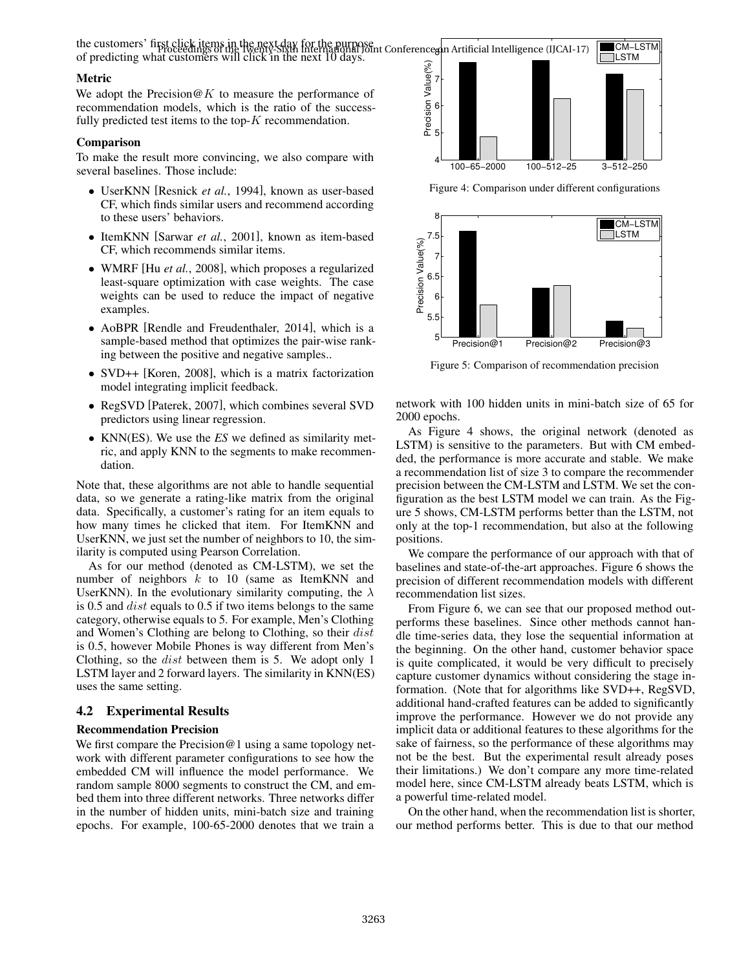the customers' first click items in the next day for the purpose<br>of prodicting what suctomes of the Twenty-Sixth International Joint Conference on Artificial Intelligence (IJCAI-17) of predicting what customers will click in the next 10 days.

#### Metric

We adopt the Precision@*K* to measure the performance of recommendation models, which is the ratio of the successfully predicted test items to the top-*K* recommendation.

## Comparison

To make the result more convincing, we also compare with several baselines. Those include:

- *•* UserKNN [Resnick *et al.*, 1994], known as user-based CF, which finds similar users and recommend according to these users' behaviors.
- *•* ItemKNN [Sarwar *et al.*, 2001], known as item-based CF, which recommends similar items.
- *•* WMRF [Hu *et al.*, 2008], which proposes a regularized least-square optimization with case weights. The case weights can be used to reduce the impact of negative examples.
- *•* AoBPR [Rendle and Freudenthaler, 2014], which is a sample-based method that optimizes the pair-wise ranking between the positive and negative samples..
- *•* SVD++ [Koren, 2008], which is a matrix factorization model integrating implicit feedback.
- *•* RegSVD [Paterek, 2007], which combines several SVD predictors using linear regression.
- *•* KNN(ES). We use the *ES* we defined as similarity metric, and apply KNN to the segments to make recommendation.

Note that, these algorithms are not able to handle sequential data, so we generate a rating-like matrix from the original data. Specifically, a customer's rating for an item equals to how many times he clicked that item. For ItemKNN and UserKNN, we just set the number of neighbors to 10, the similarity is computed using Pearson Correlation.

As for our method (denoted as CM-LSTM), we set the number of neighbors *k* to 10 (same as ItemKNN and UserKNN). In the evolutionary similarity computing, the  $\lambda$ is 0.5 and *dist* equals to 0.5 if two items belongs to the same category, otherwise equals to 5. For example, Men's Clothing and Women's Clothing are belong to Clothing, so their *dist* is 0.5, however Mobile Phones is way different from Men's Clothing, so the *dist* between them is 5. We adopt only 1 LSTM layer and 2 forward layers. The similarity in KNN(ES) uses the same setting.

### 4.2 Experimental Results

#### Recommendation Precision

We first compare the Precision @1 using a same topology network with different parameter configurations to see how the embedded CM will influence the model performance. We random sample 8000 segments to construct the CM, and embed them into three different networks. Three networks differ in the number of hidden units, mini-batch size and training epochs. For example, 100-65-2000 denotes that we train a



Figure 4: Comparison under different configurations



Figure 5: Comparison of recommendation precision

network with 100 hidden units in mini-batch size of 65 for 2000 epochs.

As Figure 4 shows, the original network (denoted as LSTM) is sensitive to the parameters. But with CM embedded, the performance is more accurate and stable. We make a recommendation list of size 3 to compare the recommender precision between the CM-LSTM and LSTM. We set the configuration as the best LSTM model we can train. As the Figure 5 shows, CM-LSTM performs better than the LSTM, not only at the top-1 recommendation, but also at the following positions.

We compare the performance of our approach with that of baselines and state-of-the-art approaches. Figure 6 shows the precision of different recommendation models with different recommendation list sizes.

From Figure 6, we can see that our proposed method outperforms these baselines. Since other methods cannot handle time-series data, they lose the sequential information at the beginning. On the other hand, customer behavior space is quite complicated, it would be very difficult to precisely capture customer dynamics without considering the stage information. (Note that for algorithms like SVD++, RegSVD, additional hand-crafted features can be added to significantly improve the performance. However we do not provide any implicit data or additional features to these algorithms for the sake of fairness, so the performance of these algorithms may not be the best. But the experimental result already poses their limitations.) We don't compare any more time-related model here, since CM-LSTM already beats LSTM, which is a powerful time-related model.

On the other hand, when the recommendation list is shorter, our method performs better. This is due to that our method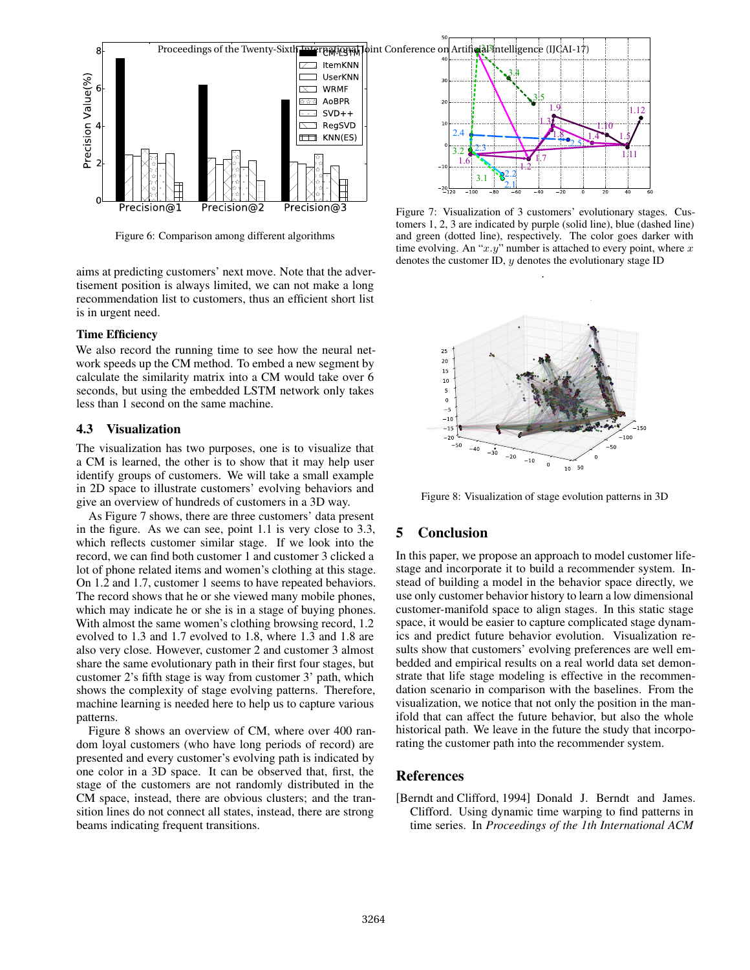

Figure 6: Comparison among different algorithms

aims at predicting customers' next move. Note that the advertisement position is always limited, we can not make a long recommendation list to customers, thus an efficient short list is in urgent need.

#### Time Efficiency

We also record the running time to see how the neural network speeds up the CM method. To embed a new segment by calculate the similarity matrix into a CM would take over 6 seconds, but using the embedded LSTM network only takes less than 1 second on the same machine.

#### 4.3 Visualization

The visualization has two purposes, one is to visualize that a CM is learned, the other is to show that it may help user identify groups of customers. We will take a small example in 2D space to illustrate customers' evolving behaviors and give an overview of hundreds of customers in a 3D way.

As Figure 7 shows, there are three customers' data present in the figure. As we can see, point 1.1 is very close to 3.3, which reflects customer similar stage. If we look into the record, we can find both customer 1 and customer 3 clicked a lot of phone related items and women's clothing at this stage. On 1.2 and 1.7, customer 1 seems to have repeated behaviors. The record shows that he or she viewed many mobile phones, which may indicate he or she is in a stage of buying phones. With almost the same women's clothing browsing record, 1.2 evolved to 1.3 and 1.7 evolved to 1.8, where 1.3 and 1.8 are also very close. However, customer 2 and customer 3 almost share the same evolutionary path in their first four stages, but customer 2's fifth stage is way from customer 3' path, which shows the complexity of stage evolving patterns. Therefore, machine learning is needed here to help us to capture various patterns.

Figure 8 shows an overview of CM, where over 400 random loyal customers (who have long periods of record) are presented and every customer's evolving path is indicated by one color in a 3D space. It can be observed that, first, the stage of the customers are not randomly distributed in the CM space, instead, there are obvious clusters; and the transition lines do not connect all states, instead, there are strong beams indicating frequent transitions.



Figure 7: Visualization of 3 customers' evolutionary stages. Customers 1, 2, 3 are indicated by purple (solid line), blue (dashed line) and green (dotted line), respectively. The color goes darker with time evolving. An "*x.y*" number is attached to every point, where *x* denotes the customer ID, *y* denotes the evolutionary stage ID

.



Figure 8: Visualization of stage evolution patterns in 3D

## 5 Conclusion

In this paper, we propose an approach to model customer lifestage and incorporate it to build a recommender system. Instead of building a model in the behavior space directly, we use only customer behavior history to learn a low dimensional customer-manifold space to align stages. In this static stage space, it would be easier to capture complicated stage dynamics and predict future behavior evolution. Visualization results show that customers' evolving preferences are well embedded and empirical results on a real world data set demonstrate that life stage modeling is effective in the recommendation scenario in comparison with the baselines. From the visualization, we notice that not only the position in the manifold that can affect the future behavior, but also the whole historical path. We leave in the future the study that incorporating the customer path into the recommender system.

## References

[Berndt and Clifford, 1994] Donald J. Berndt and James. Clifford. Using dynamic time warping to find patterns in time series. In *Proceedings of the 1th International ACM*